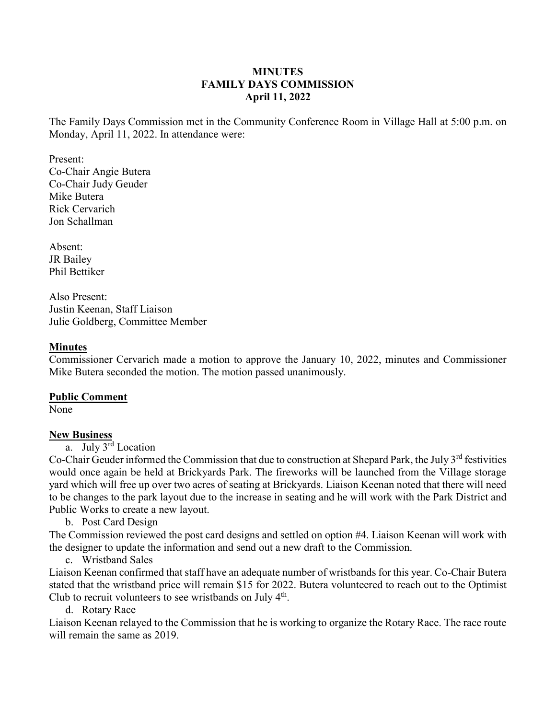### **MINUTES FAMILY DAYS COMMISSION April 11, 2022**

The Family Days Commission met in the Community Conference Room in Village Hall at 5:00 p.m. on Monday, April 11, 2022. In attendance were:

Present: Co-Chair Angie Butera Co-Chair Judy Geuder Mike Butera Rick Cervarich Jon Schallman

Absent: JR Bailey Phil Bettiker

Also Present: Justin Keenan, Staff Liaison Julie Goldberg, Committee Member

### **Minutes**

Commissioner Cervarich made a motion to approve the January 10, 2022, minutes and Commissioner Mike Butera seconded the motion. The motion passed unanimously.

### **Public Comment**

None

# **New Business**

a. July 3rd Location

Co-Chair Geuder informed the Commission that due to construction at Shepard Park, the July 3<sup>rd</sup> festivities would once again be held at Brickyards Park. The fireworks will be launched from the Village storage yard which will free up over two acres of seating at Brickyards. Liaison Keenan noted that there will need to be changes to the park layout due to the increase in seating and he will work with the Park District and Public Works to create a new layout.

b. Post Card Design

The Commission reviewed the post card designs and settled on option #4. Liaison Keenan will work with the designer to update the information and send out a new draft to the Commission.

c. Wristband Sales

Liaison Keenan confirmed that staff have an adequate number of wristbands for this year. Co-Chair Butera stated that the wristband price will remain \$15 for 2022. Butera volunteered to reach out to the Optimist Club to recruit volunteers to see wristbands on July  $4<sup>th</sup>$ .

d. Rotary Race

Liaison Keenan relayed to the Commission that he is working to organize the Rotary Race. The race route will remain the same as 2019.